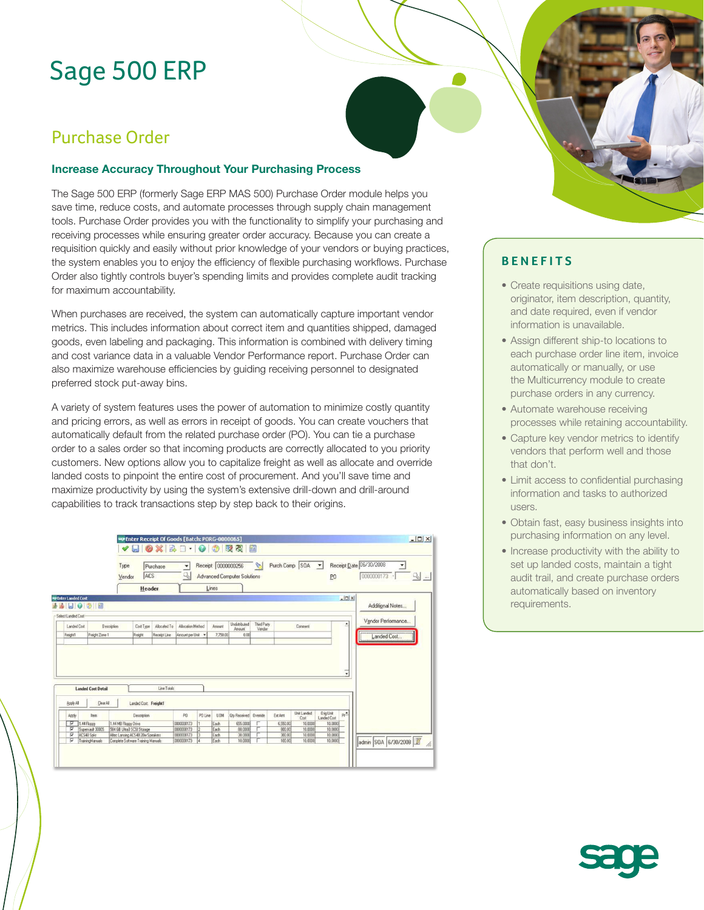# Sage 500 ERP

## Purchase Order

#### **Increase Accuracy Throughout Your Purchasing Process**

The Sage 500 ERP (formerly Sage ERP MAS 500) Purchase Order module helps you save time, reduce costs, and automate processes through supply chain management tools. Purchase Order provides you with the functionality to simplify your purchasing and receiving processes while ensuring greater order accuracy. Because you can create a requisition quickly and easily without prior knowledge of your vendors or buying practices, the system enables you to enjoy the efficiency of flexible purchasing workflows. Purchase Order also tightly controls buyer's spending limits and provides complete audit tracking for maximum accountability.

When purchases are received, the system can automatically capture important vendor metrics. This includes information about correct item and quantities shipped, damaged goods, even labeling and packaging. This information is combined with delivery timing and cost variance data in a valuable Vendor Performance report. Purchase Order can also maximize warehouse efficiencies by guiding receiving personnel to designated preferred stock put-away bins.

A variety of system features uses the power of automation to minimize costly quantity and pricing errors, as well as errors in receipt of goods. You can create vouchers that automatically default from the related purchase order (PO). You can tie a purchase order to a sales order so that incoming products are correctly allocated to you priority customers. New options allow you to capitalize freight as well as allocate and override landed costs to pinpoint the entire cost of procurement. And you'll save time and maximize productivity by using the system's extensive drill-down and drill-around capabilities to track transactions step by step back to their origins.

|                            |                                        | Type<br>ACS<br>Vendor                                                   | Purchase     | $\overline{\phantom{a}}$<br>$Q_0$ |         |              | Receipt 0000000256<br>Advanced Computer Solutions |                       |                  | Purch Comp SOA      | PO                                    |                | Receipt Date 06/30/2008 | $0000000173 \cdot $ $Q_0$ |  |
|----------------------------|----------------------------------------|-------------------------------------------------------------------------|--------------|-----------------------------------|---------|--------------|---------------------------------------------------|-----------------------|------------------|---------------------|---------------------------------------|----------------|-------------------------|---------------------------|--|
|                            |                                        | Header                                                                  |              |                                   |         | Lines        |                                                   |                       |                  |                     |                                       |                |                         |                           |  |
| <b>WPEnter Landed Cost</b> |                                        |                                                                         |              |                                   |         |              |                                                   |                       |                  |                     |                                       | $  x$          |                         |                           |  |
|                            | 日 ● ② 图                                |                                                                         |              |                                   |         |              |                                                   |                       |                  |                     |                                       |                |                         | Additional Notes          |  |
| Select Landed Cost         |                                        |                                                                         |              |                                   |         |              |                                                   |                       |                  |                     |                                       |                |                         |                           |  |
| Landed Cost                | Description                            | Cost Type                                                               | Allocated To | Allocation Method                 |         | Amount       | Undstributed<br>Amount                            | Third Party<br>Vendor |                  | Comment             |                                       | $\overline{ }$ |                         | Vendor Performance        |  |
| Freight1                   | Freight Zone 1                         | Freight                                                                 | Recept Line  | Amount per Unit                   |         | 7,750.00     | 0.00                                              |                       |                  |                     |                                       |                |                         | Landed Cost               |  |
|                            |                                        |                                                                         |              |                                   |         |              |                                                   |                       |                  |                     |                                       |                |                         |                           |  |
|                            |                                        |                                                                         |              |                                   |         |              |                                                   |                       |                  |                     |                                       |                |                         |                           |  |
| Acoly All                  | <b>Landed Cost Detail</b><br>Clear All | Landed Cost Freight1                                                    | Line Totals  |                                   |         |              |                                                   |                       |                  |                     |                                       | ٠              |                         |                           |  |
| Apply                      | Item                                   | Description                                                             |              | PO:                               | PO Line | U0M          | <b>Qty Received</b> Override                      |                       | ExtAmt           | Unit Landed<br>Cost | <b>Ong Unit</b><br><b>Landed Cost</b> | $h^{\Delta}$   |                         |                           |  |
| ⊽                          | 1.44 Floppy                            | 1.44 MB Floppy Drive                                                    |              | 0000000173                        |         | Each         | 655,0000                                          |                       | 6,550.00         | 10,0000             | 10,0000                               |                |                         |                           |  |
| ⊽                          | Supervault 3000S                       | 584 GB Ultra3 SCSI Storage                                              |              | 0000000173                        | Ī2      | Each         | 80,0000                                           |                       | 800.00           | 10,0000             | 10,0000                               |                |                         |                           |  |
| ⊽<br>⊽                     | ACS48 Spkr<br>TrainingManuals          | Altec Lansing ACS 48 20w Speakers<br>Complete Software Training Manuals |              | 0000000173<br>0000000173          | 13<br>× | Each<br>Each | 30,0000<br>10,0000                                |                       | 300.00<br>100.00 | 10,0000<br>10,0000  | 10,0000<br>10,0000                    |                |                         | admin SOA 6/30/2008       |  |

### **BENEFITS**

- Create requisitions using date, originator, item description, quantity, and date required, even if vendor information is unavailable.
- Assign different ship-to locations to each purchase order line item, invoice automatically or manually, or use the Multicurrency module to create purchase orders in any currency.
- Automate warehouse receiving processes while retaining accountability.
- Capture key vendor metrics to identify vendors that perform well and those that don't.
- Limit access to confidential purchasing information and tasks to authorized users.
- Obtain fast, easy business insights into purchasing information on any level.
- Increase productivity with the ability to set up landed costs, maintain a tight audit trail, and create purchase orders automatically based on inventory requirements.